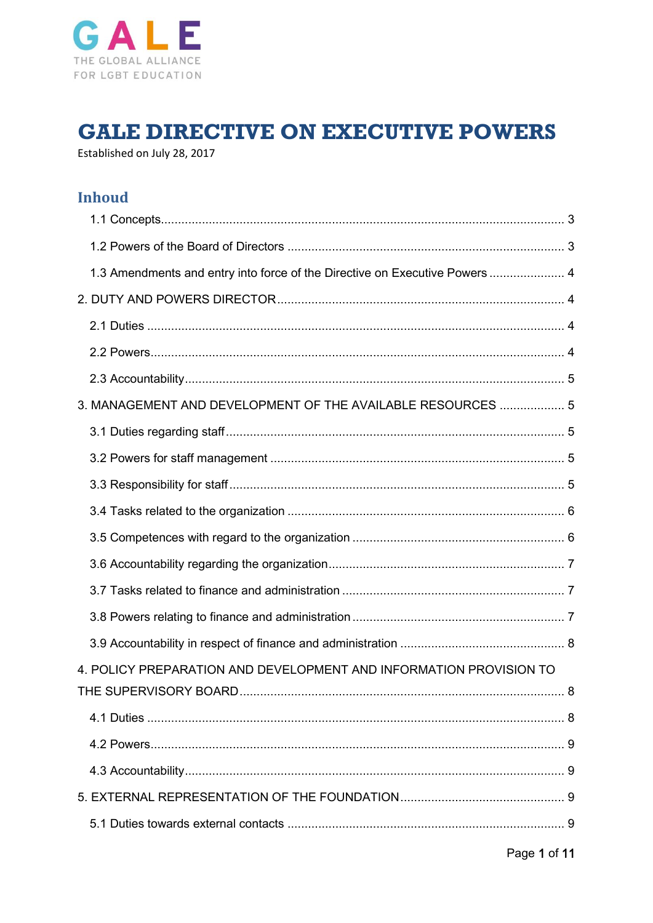

# **GALE DIRECTIVE ON EXECUTIVE POWERS**

Established on July 28, 2017

# **Inhoud**

| 1.3 Amendments and entry into force of the Directive on Executive Powers  4 |  |
|-----------------------------------------------------------------------------|--|
|                                                                             |  |
|                                                                             |  |
|                                                                             |  |
|                                                                             |  |
| 3. MANAGEMENT AND DEVELOPMENT OF THE AVAILABLE RESOURCES  5                 |  |
|                                                                             |  |
|                                                                             |  |
|                                                                             |  |
|                                                                             |  |
|                                                                             |  |
|                                                                             |  |
|                                                                             |  |
|                                                                             |  |
|                                                                             |  |
| 4. POLICY PREPARATION AND DEVELOPMENT AND INFORMATION PROVISION TO          |  |
|                                                                             |  |
|                                                                             |  |
|                                                                             |  |
|                                                                             |  |
|                                                                             |  |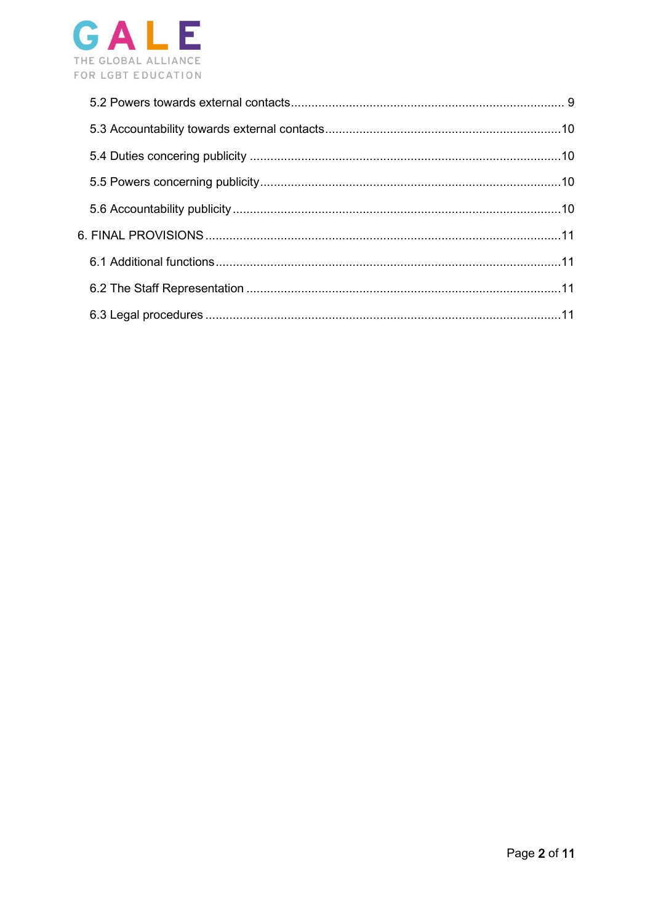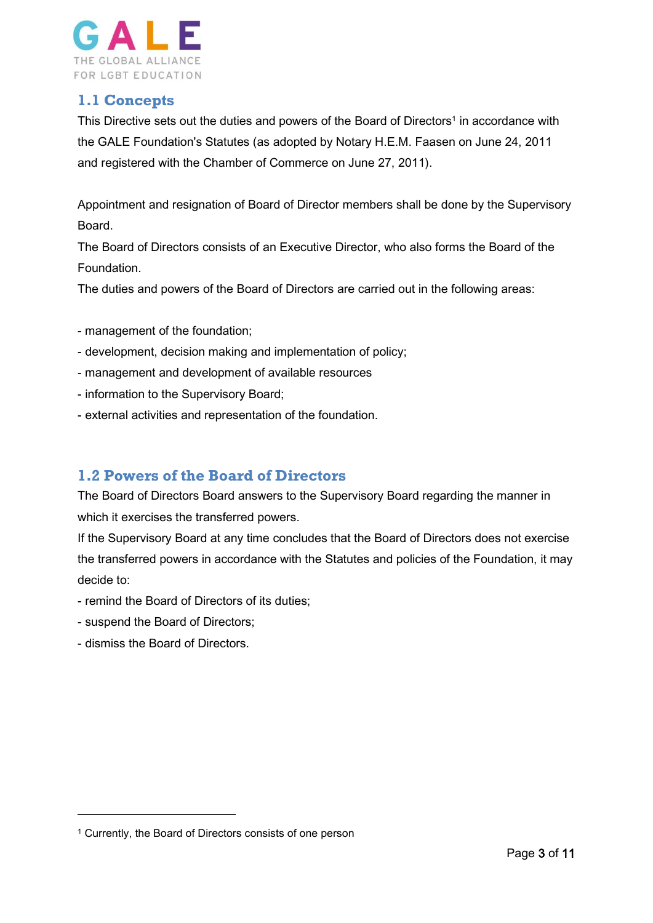

# <span id="page-2-0"></span>**1.1 Concepts**

This Directive sets out the duties and powers of the Board of Directors<sup>1</sup> in accordance with the GALE Foundation's Statutes (as adopted by Notary H.E.M. Faasen on June 24, 2011 and registered with the Chamber of Commerce on June 27, 2011).

Appointment and resignation of Board of Director members shall be done by the Supervisory Board.

The Board of Directors consists of an Executive Director, who also forms the Board of the Foundation.

The duties and powers of the Board of Directors are carried out in the following areas:

- management of the foundation;
- development, decision making and implementation of policy;
- management and development of available resources
- information to the Supervisory Board;
- external activities and representation of the foundation.

# <span id="page-2-1"></span>**1.2 Powers of the Board of Directors**

The Board of Directors Board answers to the Supervisory Board regarding the manner in which it exercises the transferred powers.

If the Supervisory Board at any time concludes that the Board of Directors does not exercise the transferred powers in accordance with the Statutes and policies of the Foundation, it may decide to:

- remind the Board of Directors of its duties;
- suspend the Board of Directors;
- dismiss the Board of Directors.

-

<sup>1</sup> Currently, the Board of Directors consists of one person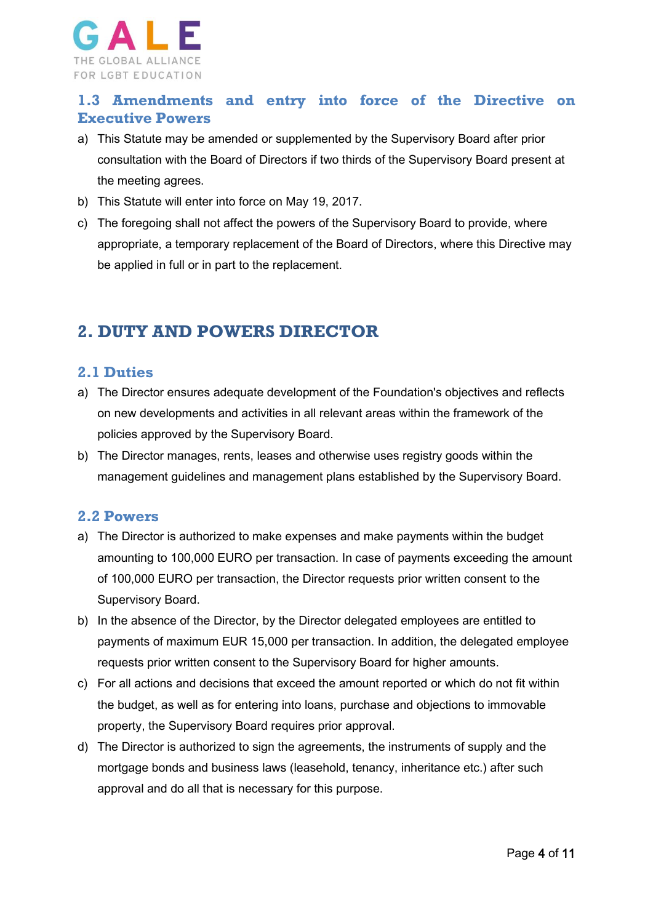

# <span id="page-3-0"></span>**1.3 Amendments and entry into force of the Directive on Executive Powers**

- a) This Statute may be amended or supplemented by the Supervisory Board after prior consultation with the Board of Directors if two thirds of the Supervisory Board present at the meeting agrees.
- b) This Statute will enter into force on May 19, 2017.
- c) The foregoing shall not affect the powers of the Supervisory Board to provide, where appropriate, a temporary replacement of the Board of Directors, where this Directive may be applied in full or in part to the replacement.

# <span id="page-3-1"></span>**2. DUTY AND POWERS DIRECTOR**

## <span id="page-3-2"></span>**2.1 Duties**

- a) The Director ensures adequate development of the Foundation's objectives and reflects on new developments and activities in all relevant areas within the framework of the policies approved by the Supervisory Board.
- b) The Director manages, rents, leases and otherwise uses registry goods within the management guidelines and management plans established by the Supervisory Board.

#### <span id="page-3-3"></span>**2.2 Powers**

- a) The Director is authorized to make expenses and make payments within the budget amounting to 100,000 EURO per transaction. In case of payments exceeding the amount of 100,000 EURO per transaction, the Director requests prior written consent to the Supervisory Board.
- b) In the absence of the Director, by the Director delegated employees are entitled to payments of maximum EUR 15,000 per transaction. In addition, the delegated employee requests prior written consent to the Supervisory Board for higher amounts.
- c) For all actions and decisions that exceed the amount reported or which do not fit within the budget, as well as for entering into loans, purchase and objections to immovable property, the Supervisory Board requires prior approval.
- d) The Director is authorized to sign the agreements, the instruments of supply and the mortgage bonds and business laws (leasehold, tenancy, inheritance etc.) after such approval and do all that is necessary for this purpose.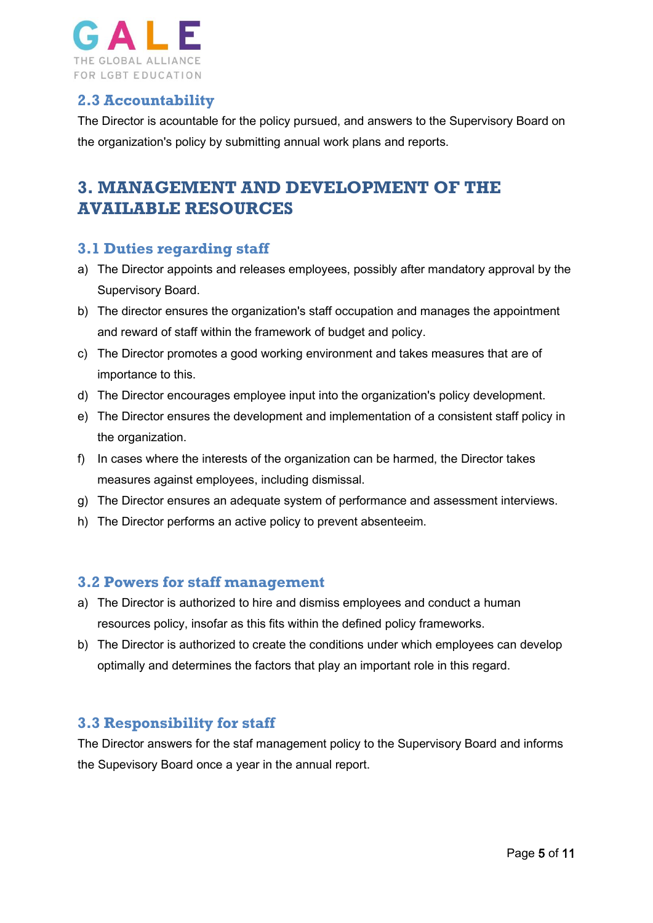

# <span id="page-4-0"></span>**2.3 Accountability**

The Director is acountable for the policy pursued, and answers to the Supervisory Board on the organization's policy by submitting annual work plans and reports.

# <span id="page-4-1"></span>**3. MANAGEMENT AND DEVELOPMENT OF THE AVAILABLE RESOURCES**

# <span id="page-4-2"></span>**3.1 Duties regarding staff**

- a) The Director appoints and releases employees, possibly after mandatory approval by the Supervisory Board.
- b) The director ensures the organization's staff occupation and manages the appointment and reward of staff within the framework of budget and policy.
- c) The Director promotes a good working environment and takes measures that are of importance to this.
- d) The Director encourages employee input into the organization's policy development.
- e) The Director ensures the development and implementation of a consistent staff policy in the organization.
- f) In cases where the interests of the organization can be harmed, the Director takes measures against employees, including dismissal.
- g) The Director ensures an adequate system of performance and assessment interviews.
- h) The Director performs an active policy to prevent absenteeim.

## <span id="page-4-3"></span>**3.2 Powers for staff management**

- a) The Director is authorized to hire and dismiss employees and conduct a human resources policy, insofar as this fits within the defined policy frameworks.
- b) The Director is authorized to create the conditions under which employees can develop optimally and determines the factors that play an important role in this regard.

## <span id="page-4-4"></span>**3.3 Responsibility for staff**

The Director answers for the staf management policy to the Supervisory Board and informs the Supevisory Board once a year in the annual report.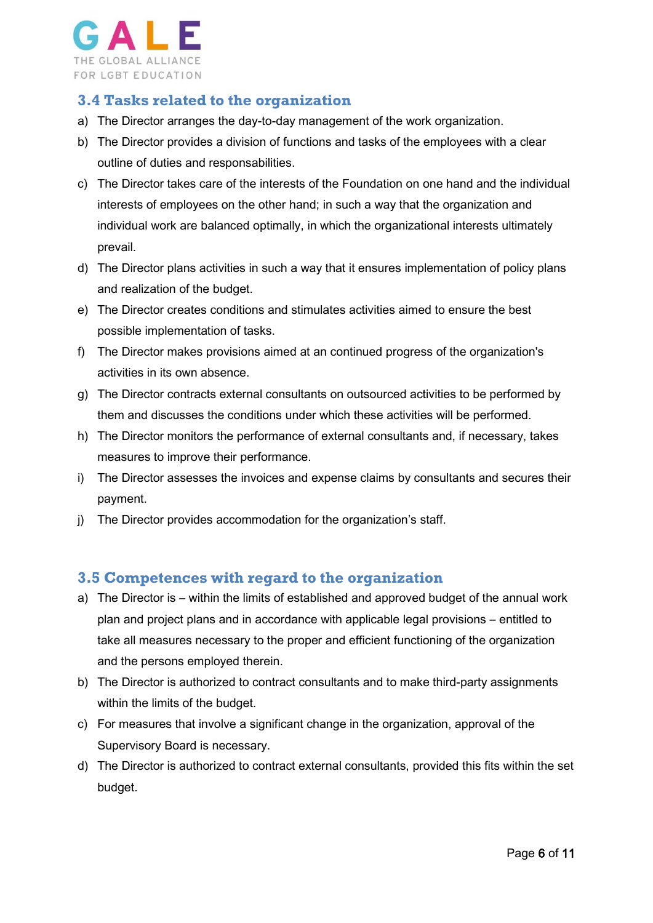

# <span id="page-5-0"></span>**3.4 Tasks related to the organization**

- a) The Director arranges the day-to-day management of the work organization.
- b) The Director provides a division of functions and tasks of the employees with a clear outline of duties and responsabilities.
- c) The Director takes care of the interests of the Foundation on one hand and the individual interests of employees on the other hand; in such a way that the organization and individual work are balanced optimally, in which the organizational interests ultimately prevail.
- d) The Director plans activities in such a way that it ensures implementation of policy plans and realization of the budget.
- e) The Director creates conditions and stimulates activities aimed to ensure the best possible implementation of tasks.
- f) The Director makes provisions aimed at an continued progress of the organization's activities in its own absence.
- g) The Director contracts external consultants on outsourced activities to be performed by them and discusses the conditions under which these activities will be performed.
- h) The Director monitors the performance of external consultants and, if necessary, takes measures to improve their performance.
- i) The Director assesses the invoices and expense claims by consultants and secures their payment.
- j) The Director provides accommodation for the organization's staff.

## <span id="page-5-1"></span>**3.5 Competences with regard to the organization**

- a) The Director is within the limits of established and approved budget of the annual work plan and project plans and in accordance with applicable legal provisions – entitled to take all measures necessary to the proper and efficient functioning of the organization and the persons employed therein.
- b) The Director is authorized to contract consultants and to make third-party assignments within the limits of the budget.
- c) For measures that involve a significant change in the organization, approval of the Supervisory Board is necessary.
- d) The Director is authorized to contract external consultants, provided this fits within the set budget.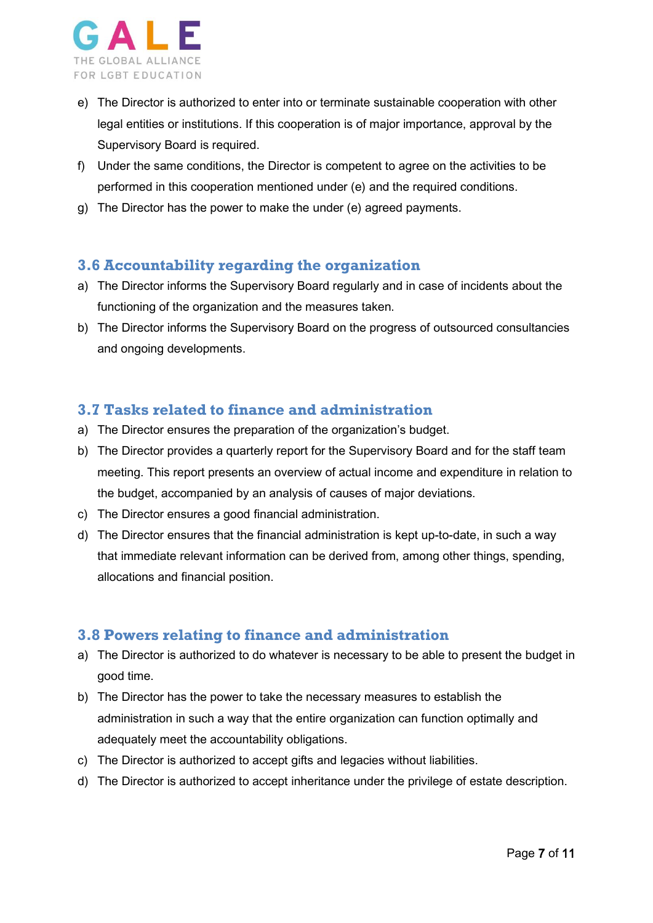

- e) The Director is authorized to enter into or terminate sustainable cooperation with other legal entities or institutions. If this cooperation is of major importance, approval by the Supervisory Board is required.
- f) Under the same conditions, the Director is competent to agree on the activities to be performed in this cooperation mentioned under (e) and the required conditions.
- g) The Director has the power to make the under (e) agreed payments.

# <span id="page-6-0"></span>**3.6 Accountability regarding the organization**

- a) The Director informs the Supervisory Board regularly and in case of incidents about the functioning of the organization and the measures taken.
- b) The Director informs the Supervisory Board on the progress of outsourced consultancies and ongoing developments.

# <span id="page-6-1"></span>**3.7 Tasks related to finance and administration**

- a) The Director ensures the preparation of the organization's budget.
- b) The Director provides a quarterly report for the Supervisory Board and for the staff team meeting. This report presents an overview of actual income and expenditure in relation to the budget, accompanied by an analysis of causes of major deviations.
- c) The Director ensures a good financial administration.
- d) The Director ensures that the financial administration is kept up-to-date, in such a way that immediate relevant information can be derived from, among other things, spending, allocations and financial position.

## <span id="page-6-2"></span>**3.8 Powers relating to finance and administration**

- a) The Director is authorized to do whatever is necessary to be able to present the budget in good time.
- b) The Director has the power to take the necessary measures to establish the administration in such a way that the entire organization can function optimally and adequately meet the accountability obligations.
- c) The Director is authorized to accept gifts and legacies without liabilities.
- d) The Director is authorized to accept inheritance under the privilege of estate description.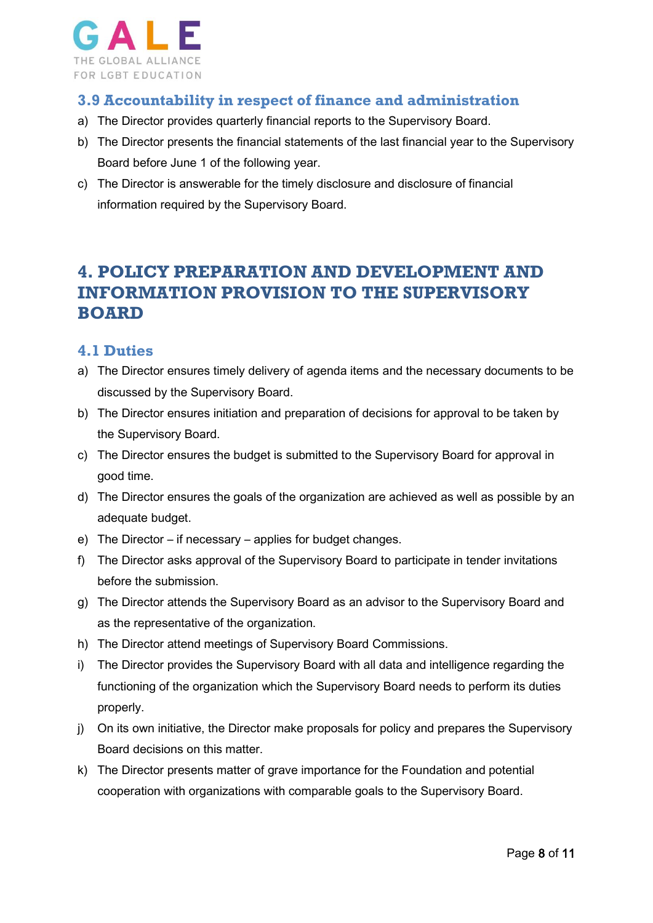

# <span id="page-7-0"></span>**3.9 Accountability in respect of finance and administration**

- a) The Director provides quarterly financial reports to the Supervisory Board.
- b) The Director presents the financial statements of the last financial year to the Supervisory Board before June 1 of the following year.
- c) The Director is answerable for the timely disclosure and disclosure of financial information required by the Supervisory Board.

# <span id="page-7-1"></span>**4. POLICY PREPARATION AND DEVELOPMENT AND INFORMATION PROVISION TO THE SUPERVISORY BOARD**

## <span id="page-7-2"></span>**4.1 Duties**

- a) The Director ensures timely delivery of agenda items and the necessary documents to be discussed by the Supervisory Board.
- b) The Director ensures initiation and preparation of decisions for approval to be taken by the Supervisory Board.
- c) The Director ensures the budget is submitted to the Supervisory Board for approval in good time.
- d) The Director ensures the goals of the organization are achieved as well as possible by an adequate budget.
- e) The Director if necessary applies for budget changes.
- f) The Director asks approval of the Supervisory Board to participate in tender invitations before the submission.
- g) The Director attends the Supervisory Board as an advisor to the Supervisory Board and as the representative of the organization.
- h) The Director attend meetings of Supervisory Board Commissions.
- i) The Director provides the Supervisory Board with all data and intelligence regarding the functioning of the organization which the Supervisory Board needs to perform its duties properly.
- j) On its own initiative, the Director make proposals for policy and prepares the Supervisory Board decisions on this matter.
- k) The Director presents matter of grave importance for the Foundation and potential cooperation with organizations with comparable goals to the Supervisory Board.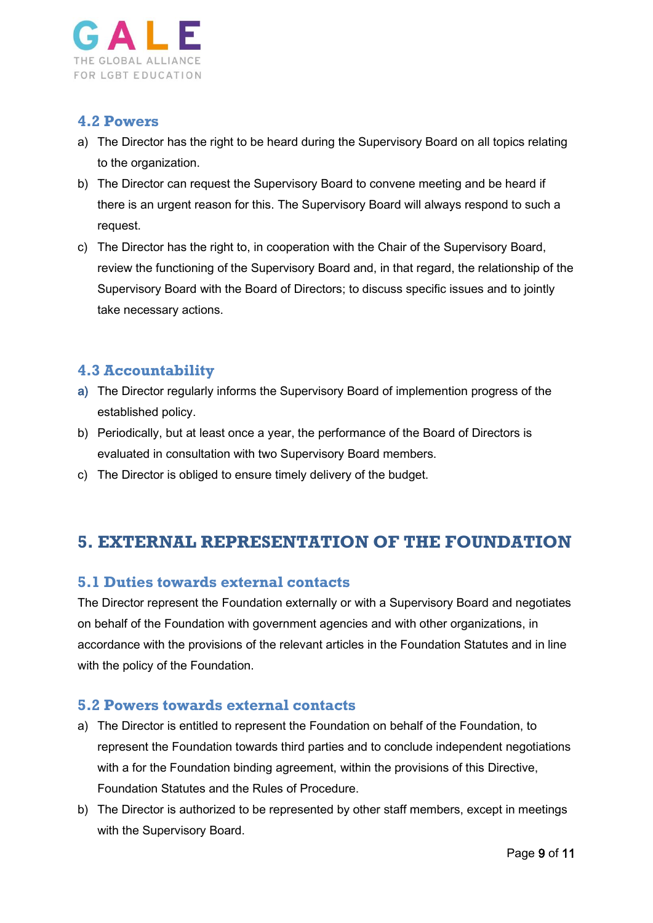

## <span id="page-8-0"></span>**4.2 Powers**

- a) The Director has the right to be heard during the Supervisory Board on all topics relating to the organization.
- b) The Director can request the Supervisory Board to convene meeting and be heard if there is an urgent reason for this. The Supervisory Board will always respond to such a request.
- c) The Director has the right to, in cooperation with the Chair of the Supervisory Board, review the functioning of the Supervisory Board and, in that regard, the relationship of the Supervisory Board with the Board of Directors; to discuss specific issues and to jointly take necessary actions.

# <span id="page-8-1"></span>**4.3 Accountability**

- a) The Director regularly informs the Supervisory Board of implemention progress of the established policy.
- b) Periodically, but at least once a year, the performance of the Board of Directors is evaluated in consultation with two Supervisory Board members.
- c) The Director is obliged to ensure timely delivery of the budget.

# <span id="page-8-2"></span>**5. EXTERNAL REPRESENTATION OF THE FOUNDATION**

## <span id="page-8-3"></span>**5.1 Duties towards external contacts**

The Director represent the Foundation externally or with a Supervisory Board and negotiates on behalf of the Foundation with government agencies and with other organizations, in accordance with the provisions of the relevant articles in the Foundation Statutes and in line with the policy of the Foundation.

## <span id="page-8-4"></span>**5.2 Powers towards external contacts**

- a) The Director is entitled to represent the Foundation on behalf of the Foundation, to represent the Foundation towards third parties and to conclude independent negotiations with a for the Foundation binding agreement, within the provisions of this Directive, Foundation Statutes and the Rules of Procedure.
- b) The Director is authorized to be represented by other staff members, except in meetings with the Supervisory Board.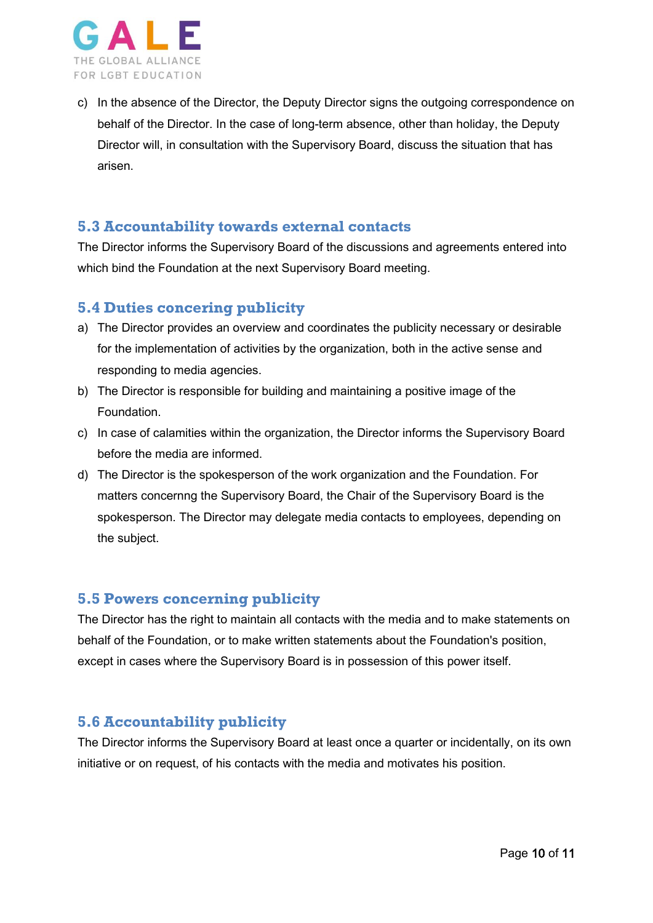

c) In the absence of the Director, the Deputy Director signs the outgoing correspondence on behalf of the Director. In the case of long-term absence, other than holiday, the Deputy Director will, in consultation with the Supervisory Board, discuss the situation that has arisen.

#### <span id="page-9-0"></span>**5.3 Accountability towards external contacts**

The Director informs the Supervisory Board of the discussions and agreements entered into which bind the Foundation at the next Supervisory Board meeting.

## <span id="page-9-1"></span>**5.4 Duties concering publicity**

- a) The Director provides an overview and coordinates the publicity necessary or desirable for the implementation of activities by the organization, both in the active sense and responding to media agencies.
- b) The Director is responsible for building and maintaining a positive image of the Foundation.
- c) In case of calamities within the organization, the Director informs the Supervisory Board before the media are informed.
- d) The Director is the spokesperson of the work organization and the Foundation. For matters concernng the Supervisory Board, the Chair of the Supervisory Board is the spokesperson. The Director may delegate media contacts to employees, depending on the subject.

## <span id="page-9-2"></span>**5.5 Powers concerning publicity**

The Director has the right to maintain all contacts with the media and to make statements on behalf of the Foundation, or to make written statements about the Foundation's position, except in cases where the Supervisory Board is in possession of this power itself.

## <span id="page-9-3"></span>**5.6 Accountability publicity**

The Director informs the Supervisory Board at least once a quarter or incidentally, on its own initiative or on request, of his contacts with the media and motivates his position.